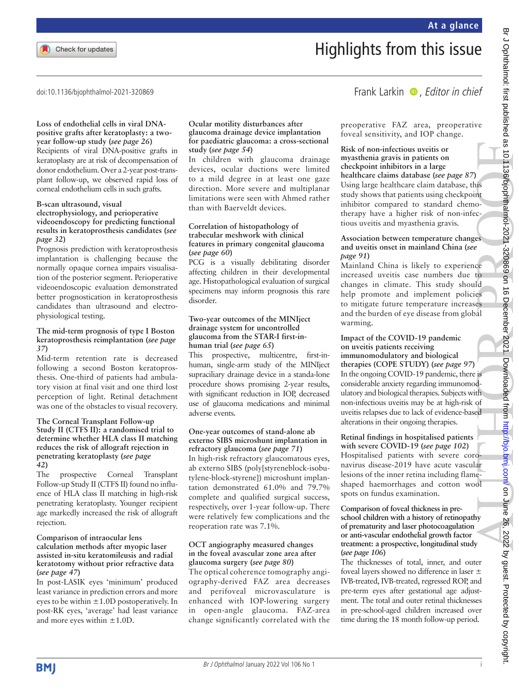# Highlights from this issue

doi:10.1136/bjophthalmol-2021-320869

### **Loss of endothelial cells in viral DNApositive grafts after keratoplasty: a twoyear follow-up study (***see page 26***)**

Recipients of viral DNA-positive grafts in keratoplasty are at risk of decompensation of donor endothelium. Over a 2-year post-transplant follow-up, we observed rapid loss of corneal endothelium cells in such grafts.

# **B-scan ultrasound, visual**

# **electrophysiology, and perioperative videoendoscopy for predicting functional results in keratoprosthesis candidates (***see page 32***)**

Prognosis prediction with keratoprosthesis implantation is challenging because the normally opaque cornea impairs visualisation of the posterior segment. Perioperative videoendoscopic evaluation demonstrated better prognostication in keratoprosthesis candidates than ultrasound and electrophysiological testing.

# **The mid-term prognosis of type I Boston keratoprosthesis reimplantation (***see page 37***)**

Mid-term retention rate is decreased following a second Boston keratoprosthesis. One-third of patients had ambulatory vision at final visit and one third lost perception of light. Retinal detachment was one of the obstacles to visual recovery.

#### **The Corneal Transplant Follow-up Study II (CTFS II): a randomised trial to determine whether HLA class II matching reduces the risk of allograft rejection in penetrating keratoplasty (***see page 42***)**

The prospective Corneal Transplant Follow-up Study II (CTFS II) found no influence of HLA class II matching in high-risk penetrating keratoplasty. Younger recipient age markedly increased the risk of allograft rejection.

#### **Comparison of intraocular lens calculation methods after myopic laser assisted in-situ keratomileusis and radial keratotomy without prior refractive data (***see page 47***)**

In post-LASIK eyes 'minimum' produced least variance in prediction errors and more eyes to be within  $\pm 1.0$ D postoperatively. In post-RK eyes, 'average' had least variance and more eyes within  $\pm 1.0$ D.

#### **Ocular motility disturbances after glaucoma drainage device implantation for paediatric glaucoma: a cross-sectional study (***see page 54***)**

In children with glaucoma drainage devices, ocular ductions were limited to a mild degree in at least one gaze direction. More severe and multiplanar limitations were seen with Ahmed rather than with Baerveldt devices.

## **Correlation of histopathology of trabecular meshwork with clinical features in primary congenital glaucoma (***see page 60***)**

PCG is a visually debilitating disorder affecting children in their developmental age. Histopathological evaluation of surgical specimens may inform prognosis this rare disorder.

## **Two-year outcomes of the MINIject drainage system for uncontrolled glaucoma from the STAR-I first-inhuman trial (***see page 65***)**

This prospective, multicentre, first-inhuman, single-arm study of the MINIject supraciliary drainage device in a standa-lone procedure shows promising 2-year results, with significant reduction in IOP, decreased use of glaucoma medications and minimal adverse events.

# **One-year outcomes of stand-alone ab externo SIBS microshunt implantation in refractory glaucoma (***see page 71***)**

In high-risk refractory glaucomatous eyes, ab externo SIBS (poly[styreneblock-isobutylene-block-styrene]) microshunt implantation demonstrated 61.0% and 79.7% complete and qualified surgical success, respectively, over 1-year follow-up. There were relatively few complications and the reoperation rate was 7.1%.

# **OCT angiography measured changes in the foveal avascular zone area after glaucoma surgery (***see page 80***)**

The optical coherence tomography angiography-derived FAZ area decreases and perifoveal microvasculature is enhanced with IOP-lowering surgery in open-angle glaucoma. FAZ-area change significantly correlated with the preoperative FAZ area, preoperative foveal sensitivity, and IOP change.

Frank Larkin  $\bullet$ , Editor in chief

**Risk of non-infectious uveitis or myasthenia gravis in patients on checkpoint inhibitors in a large healthcare claims database (***see page 87***)** Using large healthcare claim database, this study shows that patients using checkpoint inhibitor compared to standard chemotherapy have a higher risk of non-infectious uveitis and myasthenia gravis.

# **Association between temperature changes and uveitis onset in mainland China (***see page 91***)**

Mainland China is likely to experience increased uveitis case numbers due to changes in climate. This study should help promote and implement policies to mitigate future temperature increases and the burden of eye disease from global warming.

# **Impact of the COVID-19 pandemic on uveitis patients receiving immunomodulatory and biological therapies (COPE STUDY) (***see page 97***)** In the ongoing COVID-19 pandemic, there is considerable anxiety regarding immunomod-

ulatory and biological therapies. Subjects with non-infectious uveitis may be at high-risk of uveitis relapses due to lack of evidence-based alterations in their ongoing therapies.

# **Retinal findings in hospitalised patients**

**with severe COVID-19 (***see page 102***)** Hospitalised patients with severe coronavirus disease-2019 have acute vascular lesions of the inner retina including flameshaped haemorrhages and cotton wool spots on fundus examination.

## **Comparison of foveal thickness in preschool children with a history of retinopathy of prematurity and laser photocoagulation or anti-vascular endothelial growth factor treatment: a prospective, longitudinal study (***see page 106***)**

The thicknesses of total, inner, and outer foveal layers showed no difference in laser ± IVB-treated, IVB-treated, regressed ROP, and pre-term eyes after gestational age adjustment. The total and outer retinal thicknesses in pre-school-aged children increased over time during the 18 month follow-up period.